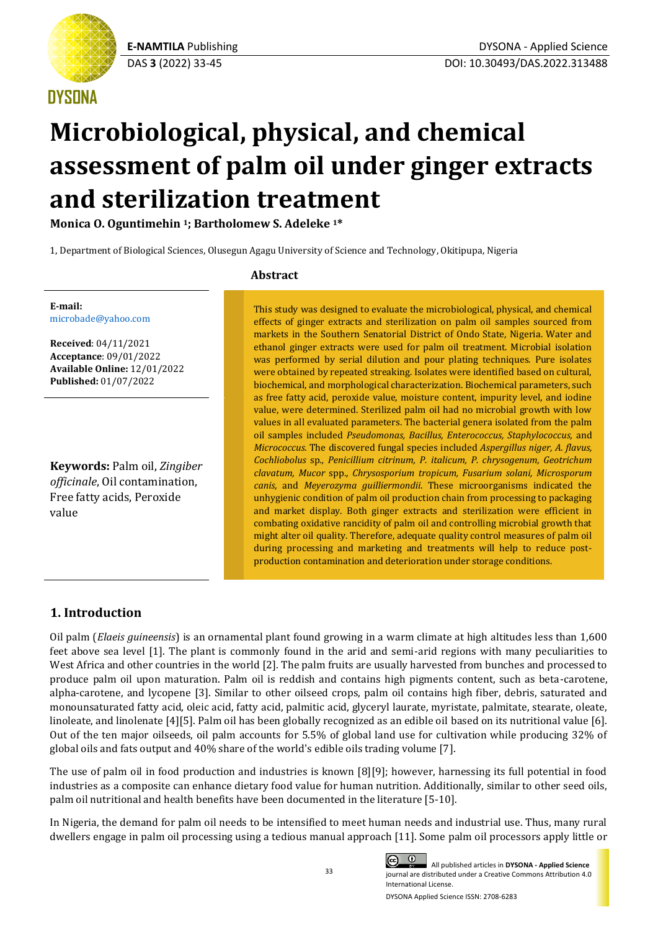

# **DYSONA**

# **Microbiological, physical, and chemical assessment of palm oil under ginger extracts and sterilization treatment**

**Monica O. Oguntimehin <sup>1</sup>; Bartholomew S. Adeleke <sup>1</sup>\***

1, Department of Biological Sciences, Olusegun Agagu University of Science and Technology, Okitipupa, Nigeria

# **Abstract**

This study was designed to evaluate the microbiological, physical, and chemical effects of ginger extracts and sterilization on palm oil samples sourced from markets in the Southern Senatorial District of Ondo State, Nigeria. Water and ethanol ginger extracts were used for palm oil treatment. Microbial isolation was performed by serial dilution and pour plating techniques. Pure isolates were obtained by repeated streaking. Isolates were identified based on cultural, biochemical, and morphological characterization. Biochemical parameters, such as free fatty acid, peroxide value, moisture content, impurity level, and iodine value, were determined. Sterilized palm oil had no microbial growth with low values in all evaluated parameters. The bacterial genera isolated from the palm oil samples included *Pseudomonas, Bacillus, Enterococcus, Staphylococcus,* and *Micrococcus.* The discovered fungal species included *Aspergillus niger, A. flavus, Cochliobolus* sp*., Penicillium citrinum, P. italicum, P. chrysogenum, Geotrichum clavatum, Mucor* spp*., Chrysosporium tropicum, Fusarium solani, Microsporum canis,* and *Meyerozyma guilliermondii*. These microorganisms indicated the unhygienic condition of palm oil production chain from processing to packaging and market display. Both ginger extracts and sterilization were efficient in combating oxidative rancidity of palm oil and controlling microbial growth that might alter oil quality. Therefore, adequate quality control measures of palm oil during processing and marketing and treatments will help to reduce postproduction contamination and deterioration under storage conditions.

#### **E-mail:** [microbade@yahoo.com](mailto:microbade@yahoo.com)

**Received**: 04/11/2021 **Acceptance**: 09/01/2022 **Available Online:** 12/01/2022 **Published:** 01/07/2022

**Keywords:** Palm oil, *Zingiber officinale*, Oil contamination, Free fatty acids, Peroxide value

# **1. Introduction**

Oil palm (*Elaeis guineensis*) is an ornamental plant found growing in a warm climate at high altitudes less than 1,600 feet above sea level [1]. The plant is commonly found in the arid and semi-arid regions with many peculiarities to West Africa and other countries in the world [2]. The palm fruits are usually harvested from bunches and processed to produce palm oil upon maturation. Palm oil is reddish and contains high pigments content, such as beta-carotene, alpha-carotene, and lycopene [3]. Similar to other oilseed crops, palm oil contains high fiber, debris, saturated and monounsaturated fatty acid, oleic acid, fatty acid, palmitic acid, glyceryl laurate, myristate, palmitate, stearate, oleate, linoleate, and linolenate [4][5]. Palm oil has been globally recognized as an edible oil based on its nutritional value [6]. Out of the ten major oilseeds, oil palm accounts for 5.5% of global land use for cultivation while producing 32% of global oils and fats output and 40% share of the world's edible oils trading volume [7].

The use of palm oil in food production and industries is known [8][9]; however, harnessing its full potential in food industries as a composite can enhance dietary food value for human nutrition. Additionally, similar to other seed oils, palm oil nutritional and health benefits have been documented in the literature [5-10].

In Nigeria, the demand for palm oil needs to be intensified to meet human needs and industrial use. Thus, many rural dwellers engage in palm oil processing using a tedious manual approach [11]. Some palm oil processors apply little or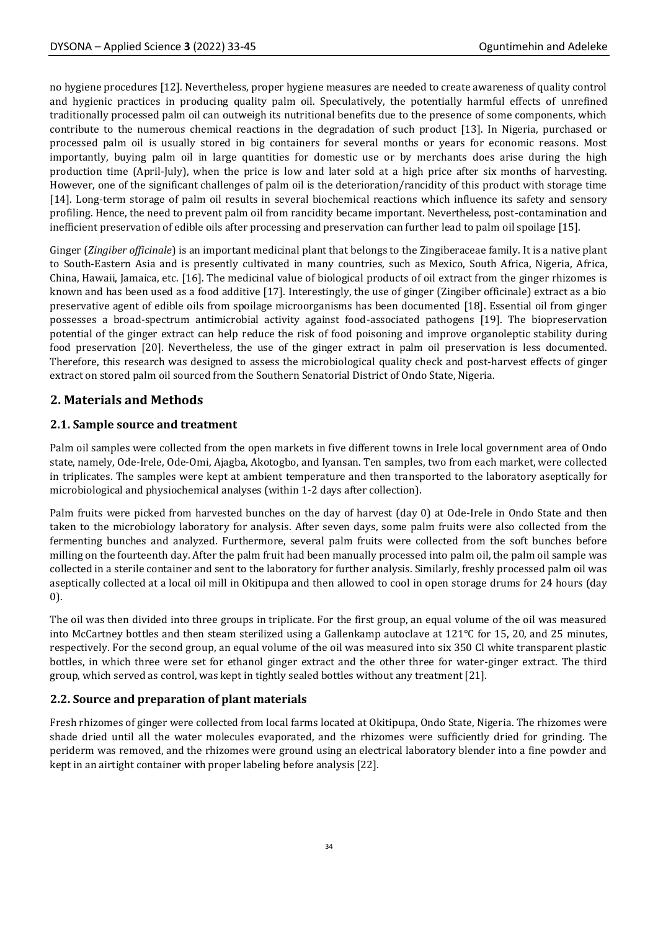no hygiene procedures [12]. Nevertheless, proper hygiene measures are needed to create awareness of quality control and hygienic practices in producing quality palm oil. Speculatively, the potentially harmful effects of unrefined traditionally processed palm oil can outweigh its nutritional benefits due to the presence of some components, which contribute to the numerous chemical reactions in the degradation of such product [13]. In Nigeria, purchased or processed palm oil is usually stored in big containers for several months or years for economic reasons. Most importantly, buying palm oil in large quantities for domestic use or by merchants does arise during the high production time (April-July), when the price is low and later sold at a high price after six months of harvesting. However, one of the significant challenges of palm oil is the deterioration/rancidity of this product with storage time [14]. Long-term storage of palm oil results in several biochemical reactions which influence its safety and sensory profiling. Hence, the need to prevent palm oil from rancidity became important. Nevertheless, post-contamination and inefficient preservation of edible oils after processing and preservation can further lead to palm oil spoilage [15].

Ginger (*Zingiber officinale*) is an important medicinal plant that belongs to the Zingiberaceae family. It is a native plant to South-Eastern Asia and is presently cultivated in many countries, such as Mexico, South Africa, Nigeria, Africa, China, Hawaii, Jamaica, etc. [16]. The medicinal value of biological products of oil extract from the ginger rhizomes is known and has been used as a food additive [17]. Interestingly, the use of ginger (Zingiber officinale) extract as a bio preservative agent of edible oils from spoilage microorganisms has been documented [18]. Essential oil from ginger possesses a broad-spectrum antimicrobial activity against food-associated pathogens [19]. The biopreservation potential of the ginger extract can help reduce the risk of food poisoning and improve organoleptic stability during food preservation [20]. Nevertheless, the use of the ginger extract in palm oil preservation is less documented. Therefore, this research was designed to assess the microbiological quality check and post-harvest effects of ginger extract on stored palm oil sourced from the Southern Senatorial District of Ondo State, Nigeria.

# **2. Materials and Methods**

# **2.1. Sample source and treatment**

Palm oil samples were collected from the open markets in five different towns in Irele local government area of Ondo state, namely, Ode-Irele, Ode-Omi, Ajagba, Akotogbo, and Iyansan. Ten samples, two from each market, were collected in triplicates. The samples were kept at ambient temperature and then transported to the laboratory aseptically for microbiological and physiochemical analyses (within 1-2 days after collection).

Palm fruits were picked from harvested bunches on the day of harvest (day 0) at Ode-Irele in Ondo State and then taken to the microbiology laboratory for analysis. After seven days, some palm fruits were also collected from the fermenting bunches and analyzed. Furthermore, several palm fruits were collected from the soft bunches before milling on the fourteenth day. After the palm fruit had been manually processed into palm oil, the palm oil sample was collected in a sterile container and sent to the laboratory for further analysis. Similarly, freshly processed palm oil was aseptically collected at a local oil mill in Okitipupa and then allowed to cool in open storage drums for 24 hours (day 0).

The oil was then divided into three groups in triplicate. For the first group, an equal volume of the oil was measured into McCartney bottles and then steam sterilized using a Gallenkamp autoclave at 121°C for 15, 20, and 25 minutes, respectively. For the second group, an equal volume of the oil was measured into six 350 Cl white transparent plastic bottles, in which three were set for ethanol ginger extract and the other three for water-ginger extract. The third group, which served as control, was kept in tightly sealed bottles without any treatment [21].

# **2.2. Source and preparation of plant materials**

Fresh rhizomes of ginger were collected from local farms located at Okitipupa, Ondo State, Nigeria. The rhizomes were shade dried until all the water molecules evaporated, and the rhizomes were sufficiently dried for grinding. The periderm was removed, and the rhizomes were ground using an electrical laboratory blender into a fine powder and kept in an airtight container with proper labeling before analysis [22].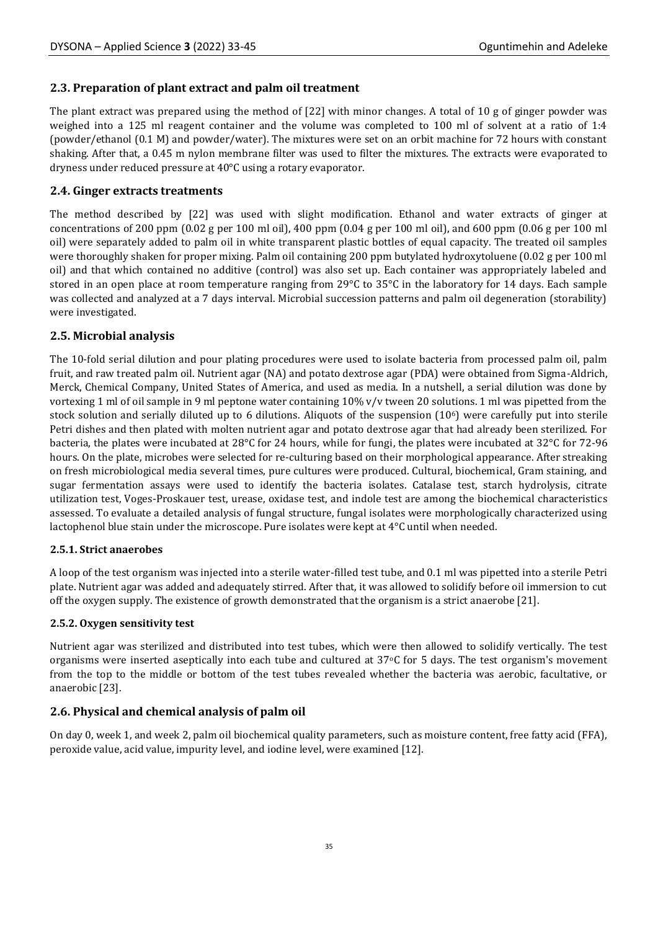## **2.3. Preparation of plant extract and palm oil treatment**

The plant extract was prepared using the method of [22] with minor changes. A total of 10 g of ginger powder was weighed into a 125 ml reagent container and the volume was completed to 100 ml of solvent at a ratio of 1:4 (powder/ethanol (0.1 M) and powder/water). The mixtures were set on an orbit machine for 72 hours with constant shaking. After that, a 0.45 m nylon membrane filter was used to filter the mixtures. The extracts were evaporated to dryness under reduced pressure at 40°C using a rotary evaporator.

## **2.4. Ginger extracts treatments**

The method described by [22] was used with slight modification. Ethanol and water extracts of ginger at concentrations of 200 ppm  $(0.02 \text{ g per } 100 \text{ ml oil})$ , 400 ppm  $(0.04 \text{ g per } 100 \text{ ml oil})$ , and 600 ppm  $(0.06 \text{ g per } 100 \text{ ml})$ oil) were separately added to palm oil in white transparent plastic bottles of equal capacity. The treated oil samples were thoroughly shaken for proper mixing. Palm oil containing 200 ppm butylated hydroxytoluene (0.02 g per 100 ml oil) and that which contained no additive (control) was also set up. Each container was appropriately labeled and stored in an open place at room temperature ranging from 29°C to 35°C in the laboratory for 14 days. Each sample was collected and analyzed at a 7 days interval. Microbial succession patterns and palm oil degeneration (storability) were investigated.

## **2.5. Microbial analysis**

The 10-fold serial dilution and pour plating procedures were used to isolate bacteria from processed palm oil, palm fruit, and raw treated palm oil. Nutrient agar (NA) and potato dextrose agar (PDA) were obtained from Sigma-Aldrich, Merck, Chemical Company, United States of America, and used as media. In a nutshell, a serial dilution was done by vortexing 1 ml of oil sample in 9 ml peptone water containing 10% v/v tween 20 solutions. 1 ml was pipetted from the stock solution and serially diluted up to 6 dilutions. Aliquots of the suspension  $(10<sup>6</sup>)$  were carefully put into sterile Petri dishes and then plated with molten nutrient agar and potato dextrose agar that had already been sterilized. For bacteria, the plates were incubated at 28°C for 24 hours, while for fungi, the plates were incubated at 32°C for 72-96 hours. On the plate, microbes were selected for re-culturing based on their morphological appearance. After streaking on fresh microbiological media several times, pure cultures were produced. Cultural, biochemical, Gram staining, and sugar fermentation assays were used to identify the bacteria isolates. Catalase test, starch hydrolysis, citrate utilization test, Voges-Proskauer test, urease, oxidase test, and indole test are among the biochemical characteristics assessed. To evaluate a detailed analysis of fungal structure, fungal isolates were morphologically characterized using lactophenol blue stain under the microscope. Pure isolates were kept at 4°C until when needed.

#### **2.5.1. Strict anaerobes**

A loop of the test organism was injected into a sterile water-filled test tube, and 0.1 ml was pipetted into a sterile Petri plate. Nutrient agar was added and adequately stirred. After that, it was allowed to solidify before oil immersion to cut off the oxygen supply. The existence of growth demonstrated that the organism is a strict anaerobe [21].

#### **2.5.2. Oxygen sensitivity test**

Nutrient agar was sterilized and distributed into test tubes, which were then allowed to solidify vertically. The test organisms were inserted aseptically into each tube and cultured at  $37\degree$ C for 5 days. The test organism's movement from the top to the middle or bottom of the test tubes revealed whether the bacteria was aerobic, facultative, or anaerobic [23].

# **2.6. Physical and chemical analysis of palm oil**

On day 0, week 1, and week 2, palm oil biochemical quality parameters, such as moisture content, free fatty acid (FFA), peroxide value, acid value, impurity level, and iodine level, were examined [12].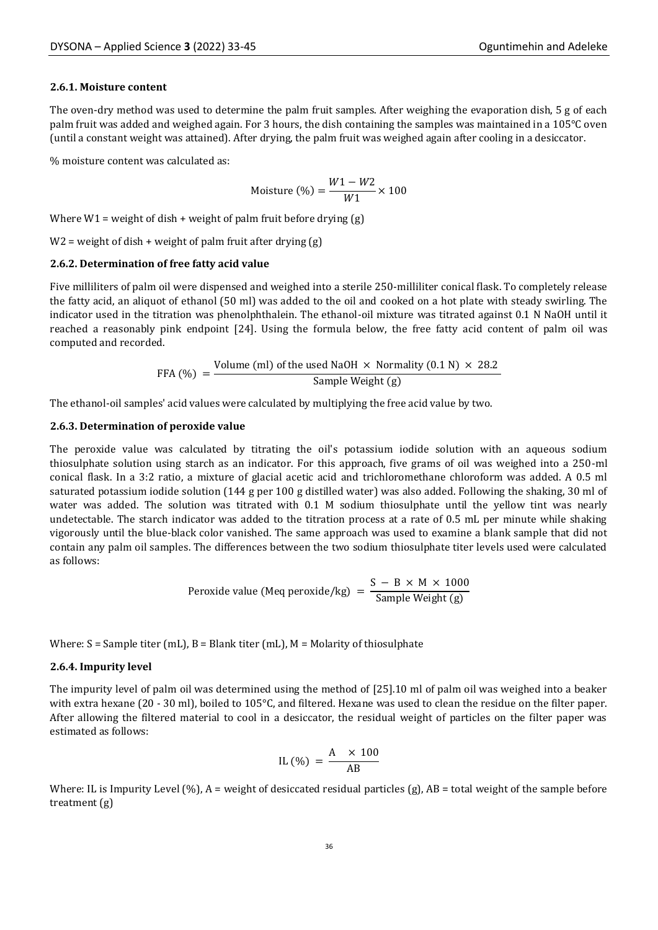#### **2.6.1. Moisture content**

The oven-dry method was used to determine the palm fruit samples. After weighing the evaporation dish, 5 g of each palm fruit was added and weighed again. For 3 hours, the dish containing the samples was maintained in a 105°C oven (until a constant weight was attained). After drying, the palm fruit was weighed again after cooling in a desiccator.

% moisture content was calculated as:

Moisture (%) = 
$$
\frac{W1 - W2}{W1} \times 100
$$

Where  $W1$  = weight of dish + weight of palm fruit before drying (g)

 $W2$  = weight of dish + weight of palm fruit after drying (g)

#### **2.6.2. Determination of free fatty acid value**

Five milliliters of palm oil were dispensed and weighed into a sterile 250-milliliter conical flask. To completely release the fatty acid, an aliquot of ethanol (50 ml) was added to the oil and cooked on a hot plate with steady swirling. The indicator used in the titration was phenolphthalein. The ethanol-oil mixture was titrated against 0.1 N NaOH until it reached a reasonably pink endpoint [24]. Using the formula below, the free fatty acid content of palm oil was computed and recorded.

FFA (
$$
\%
$$
) = Volume (ml) of the used NaOH × Normality (0.1 N) × 28.2  
Sample Weight (g)

The ethanol-oil samples' acid values were calculated by multiplying the free acid value by two.

#### **2.6.3. Determination of peroxide value**

The peroxide value was calculated by titrating the oil's potassium iodide solution with an aqueous sodium thiosulphate solution using starch as an indicator. For this approach, five grams of oil was weighed into a 250-ml conical flask. In a 3:2 ratio, a mixture of glacial acetic acid and trichloromethane chloroform was added. A 0.5 ml saturated potassium iodide solution (144 g per 100 g distilled water) was also added. Following the shaking, 30 ml of water was added. The solution was titrated with 0.1 M sodium thiosulphate until the yellow tint was nearly undetectable. The starch indicator was added to the titration process at a rate of 0.5 mL per minute while shaking vigorously until the blue-black color vanished. The same approach was used to examine a blank sample that did not contain any palm oil samples. The differences between the two sodium thiosulphate titer levels used were calculated as follows:

Peroxide value (Meq peroxide/kg) = 
$$
\frac{S - B \times M \times 1000}{Sample Weight (g)}
$$

Where:  $S =$  Sample titer (mL),  $B =$  Blank titer (mL),  $M =$  Molarity of thiosulphate

#### **2.6.4. Impurity level**

The impurity level of palm oil was determined using the method of [25].10 ml of palm oil was weighed into a beaker with extra hexane (20 - 30 ml), boiled to 105°C, and filtered. Hexane was used to clean the residue on the filter paper. After allowing the filtered material to cool in a desiccator, the residual weight of particles on the filter paper was estimated as follows:

$$
IL\left(\% \right) = \frac{A \times 100}{AB}
$$

Where: IL is Impurity Level  $(\%)$ , A = weight of desiccated residual particles  $(g)$ , AB = total weight of the sample before treatment (g)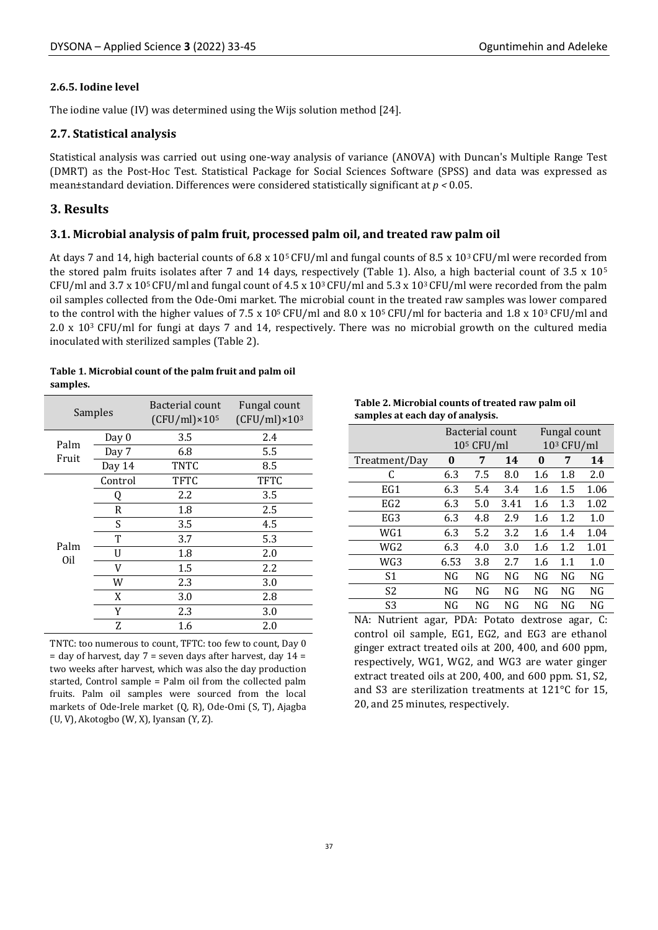#### **2.6.5. Iodine level**

The iodine value (IV) was determined using the Wijs solution method [24].

#### **2.7. Statistical analysis**

Statistical analysis was carried out using one-way analysis of variance (ANOVA) with Duncan's Multiple Range Test (DMRT) as the Post-Hoc Test. Statistical Package for Social Sciences Software (SPSS) and data was expressed as mean±standard deviation. Differences were considered statistically significant at *p <* 0.05.

## **3. Results**

#### **3.1. Microbial analysis of palm fruit, processed palm oil, and treated raw palm oil**

At days 7 and 14, high bacterial counts of 6.8 x 105 CFU/ml and fungal counts of 8.5 x 103 CFU/ml were recorded from the stored palm fruits isolates after 7 and 14 days, respectively (Table 1). Also, a high bacterial count of 3.5 x 10<sup>5</sup> CFU/ml and 3.7 x 10<sup>5</sup> CFU/ml and fungal count of 4.5 x 10<sup>3</sup> CFU/ml and 5.3 x 10<sup>3</sup> CFU/ml were recorded from the palm oil samples collected from the Ode-Omi market. The microbial count in the treated raw samples was lower compared to the control with the higher values of 7.5 x  $10^5$  CFU/ml and 8.0 x  $10^5$  CFU/ml for bacteria and 1.8 x  $10^3$  CFU/ml and 2.0 x 103 CFU/ml for fungi at days 7 and 14, respectively. There was no microbial growth on the cultured media inoculated with sterilized samples (Table 2).

#### **Table 1. Microbial count of the palm fruit and palm oil samples.**

| Samples     |         | Bacterial count<br>$(CFU/ml) \times 10^5$ | Fungal count<br>$(CFU/ml) \times 10^3$ |  |  |
|-------------|---------|-------------------------------------------|----------------------------------------|--|--|
| Palm        | Day 0   | 3.5                                       | 2.4                                    |  |  |
| Fruit       | Day 7   | 6.8                                       | 5.5                                    |  |  |
|             | Day 14  | TNTC                                      | 8.5                                    |  |  |
|             | Control | <b>TFTC</b>                               | <b>TFTC</b>                            |  |  |
|             | Q       | 2.2                                       | 3.5                                    |  |  |
|             | R       | 1.8                                       | 2.5                                    |  |  |
|             | S       | 3.5                                       | 4.5                                    |  |  |
|             | т       | 3.7                                       | 5.3                                    |  |  |
| Palm<br>Oil | U       | 1.8                                       | 2.0                                    |  |  |
|             | V       | $1.5\,$                                   | 2.2                                    |  |  |
|             | W       | 2.3                                       | 3.0                                    |  |  |
|             | X       | 3.0                                       | 2.8                                    |  |  |
|             | Y       | 2.3                                       | 3.0                                    |  |  |
|             | Z       | 1.6                                       | 2.0                                    |  |  |

TNTC: too numerous to count, TFTC: too few to count, Day 0  $=$  day of harvest, day  $7 =$  seven days after harvest, day  $14 =$ two weeks after harvest, which was also the day production started, Control sample = Palm oil from the collected palm fruits. Palm oil samples were sourced from the local markets of Ode-Irele market (Q, R), Ode-Omi (S, T), Ajagba (U, V), Akotogbo (W, X), Iyansan (Y, Z).

**Table 2. Microbial counts of treated raw palm oil samples at each day of analysis.**

|                 |      | Bacterial count |      | Fungal count |     |      |  |  |
|-----------------|------|-----------------|------|--------------|-----|------|--|--|
|                 |      | $105$ CFU/ml    |      | $103$ CFU/ml |     |      |  |  |
| Treatment/Day   | 0    | 7               | 14   | 0            | 7   | 14   |  |  |
| C               | 6.3  | 7.5             | 8.0  | 1.6          | 1.8 | 2.0  |  |  |
| EG1             | 6.3  | 5.4             | 3.4  | 1.6          | 1.5 | 1.06 |  |  |
| EG <sub>2</sub> | 6.3  | 5.0             | 3.41 | 1.6          | 1.3 | 1.02 |  |  |
| EG <sub>3</sub> | 6.3  | 4.8             | 2.9  | 1.6          | 1.2 | 1.0  |  |  |
| WG1             | 6.3  | 5.2             | 3.2  | 1.6          | 1.4 | 1.04 |  |  |
| WG <sub>2</sub> | 6.3  | 4.0             | 3.0  | 1.6          | 1.2 | 1.01 |  |  |
| WG3             | 6.53 | 3.8             | 2.7  | 1.6          | 1.1 | 1.0  |  |  |
| S1              | NG   | NG              | NG   | NG           | NG  | NG   |  |  |
| S <sub>2</sub>  | NG   | NG              | NG   | NG           | NG  | NG   |  |  |
| S <sub>3</sub>  | NG   | NG              | NG   | NG           | NG  | NG   |  |  |

NA: Nutrient agar, PDA: Potato dextrose agar, C: control oil sample, EG1, EG2, and EG3 are ethanol ginger extract treated oils at 200, 400, and 600 ppm, respectively, WG1, WG2, and WG3 are water ginger extract treated oils at 200, 400, and 600 ppm. S1, S2, and S3 are sterilization treatments at 121°C for 15, 20, and 25 minutes, respectively.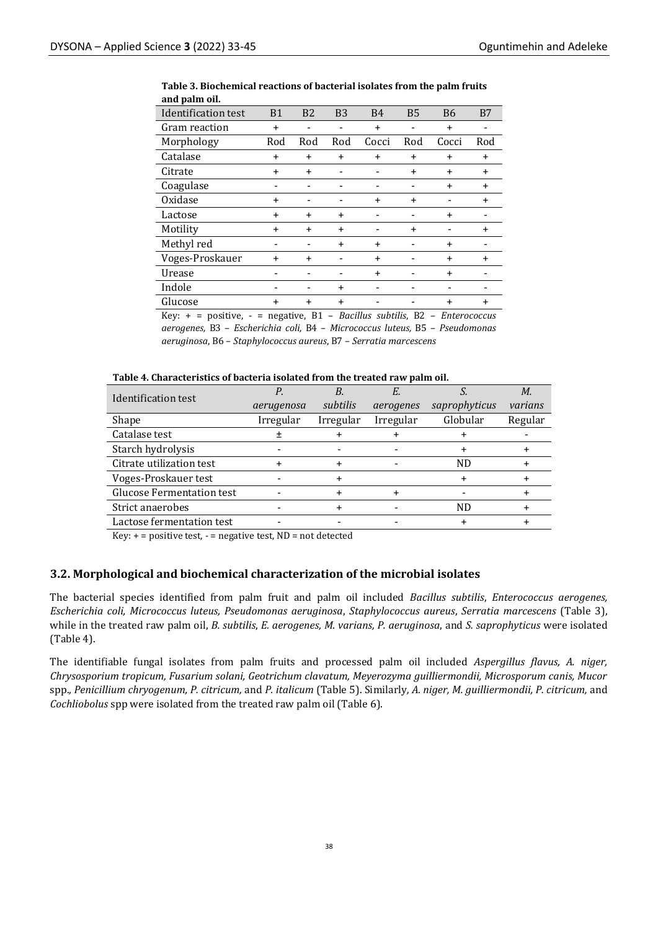| anu pann on.                                                                                                                       |                            |                |                            |           |                                                 |           |           |
|------------------------------------------------------------------------------------------------------------------------------------|----------------------------|----------------|----------------------------|-----------|-------------------------------------------------|-----------|-----------|
| Identification test                                                                                                                | B1                         | B <sub>2</sub> | <b>B3</b>                  | <b>B4</b> | <b>B5</b>                                       | <b>B6</b> | B7        |
| Gram reaction                                                                                                                      | $\ddot{}$                  |                |                            | $\ddot{}$ |                                                 | $\ddot{}$ |           |
| Morphology                                                                                                                         | Rod                        | Rod            | Rod                        | Cocci     | Rod                                             | Cocci     | Rod       |
| Catalase                                                                                                                           | $\ddot{}$                  | $\ddot{}$      | $\ddot{}$                  | $\ddot{}$ | $\ddot{}$                                       | $\ddot{}$ | $\ddot{}$ |
| Citrate                                                                                                                            | $\ddot{}$                  | $\ddot{}$      |                            |           | $\ddot{}$                                       | $\ddot{}$ | $\ddot{}$ |
| Coagulase                                                                                                                          |                            |                |                            |           |                                                 | $\ddot{}$ | $\ddot{}$ |
| Oxidase                                                                                                                            | $\ddot{}$                  |                |                            | $\ddot{}$ | $\ddot{}$                                       |           | $\ddot{}$ |
| Lactose                                                                                                                            | $\ddot{}$                  | $\ddot{}$      | $\ddot{}$                  |           |                                                 | $\ddot{}$ |           |
| Motility                                                                                                                           | $\ddot{}$                  | $\ddot{}$      | $\ddot{}$                  |           | $\ddot{}$                                       |           | $\ddot{}$ |
| Methyl red                                                                                                                         |                            |                | $\ddot{}$                  | $\ddot{}$ |                                                 | $\ddot{}$ |           |
| Voges-Proskauer                                                                                                                    | $\ddot{}$                  | $\ddot{}$      |                            | $\ddot{}$ |                                                 | $\ddot{}$ | $\ddot{}$ |
| Urease                                                                                                                             |                            |                |                            | $\ddot{}$ |                                                 | $\ddot{}$ |           |
| Indole                                                                                                                             |                            |                | $\ddot{}$                  |           |                                                 |           |           |
| Glucose                                                                                                                            | $\ddot{}$                  | $\ddot{}$      | $\ddot{}$                  |           |                                                 | $\ddot{}$ | $\ddot{}$ |
| $\mathbf{I} \mathbf{Z}$ and $\mathbf{Z}$ are the set of $\mathbf{Z}$ and $\mathbf{Z}$ are the set of $\mathbf{Z}$ and $\mathbf{Z}$ | $\mathbf{D}$<br>a matthews |                | $D = -2U - 2 = -1.42U - 2$ | no.       | $\Gamma$ and $\Gamma$ and $\Gamma$ and $\Gamma$ |           |           |

#### **Table 3. Biochemical reactions of bacterial isolates from the palm fruits and palm oil.**

Key: + = positive, - = negative, B1 – *Bacillus subtilis*, B2 – *Enterococcus aerogenes,* B3 – *Escherichia coli,* B4 – *Micrococcus luteus,* B5 – *Pseudomonas aeruginosa*, B6 – *Staphylococcus aureus*, B7 – *Serratia marcescens*

#### **Table 4. Characteristics of bacteria isolated from the treated raw palm oil.**

| Identification test              |            |           |           |               | М.      |
|----------------------------------|------------|-----------|-----------|---------------|---------|
|                                  | aerugenosa | subtilis  | aerogenes | saprophyticus | varians |
| Shape                            | Irregular  | Irregular | Irregular | Globular      | Regular |
| Catalase test                    |            |           |           |               |         |
| Starch hydrolysis                |            |           |           |               |         |
| Citrate utilization test         |            |           |           | ND            |         |
| Voges-Proskauer test             |            |           |           |               |         |
| <b>Glucose Fermentation test</b> |            |           |           |               |         |
| Strict anaerobes                 |            |           |           | ND            |         |
| Lactose fermentation test        |            |           |           |               |         |

Key:  $+=$  positive test,  $-$  = negative test, ND = not detected

#### **3.2. Morphological and biochemical characterization of the microbial isolates**

The bacterial species identified from palm fruit and palm oil included *Bacillus subtilis*, *Enterococcus aerogenes, Escherichia coli, Micrococcus luteus, Pseudomonas aeruginosa*, *Staphylococcus aureus*, *Serratia marcescens* (Table 3), while in the treated raw palm oil, *B. subtilis*, *E. aerogenes, M. varians, P. aeruginosa*, and *S. saprophyticus* were isolated (Table 4).

The identifiable fungal isolates from palm fruits and processed palm oil included *Aspergillus flavus, A. niger, Chrysosporium tropicum, Fusarium solani, Geotrichum clavatum, Meyerozyma guilliermondii, Microsporum canis, Mucor*  spp.*, Penicillium chryogenum, P. citricum,* and *P. italicum* (Table 5). Similarly*, A. niger, M. guilliermondii, P. citricum,* and *Cochliobolus* spp were isolated from the treated raw palm oil (Table 6).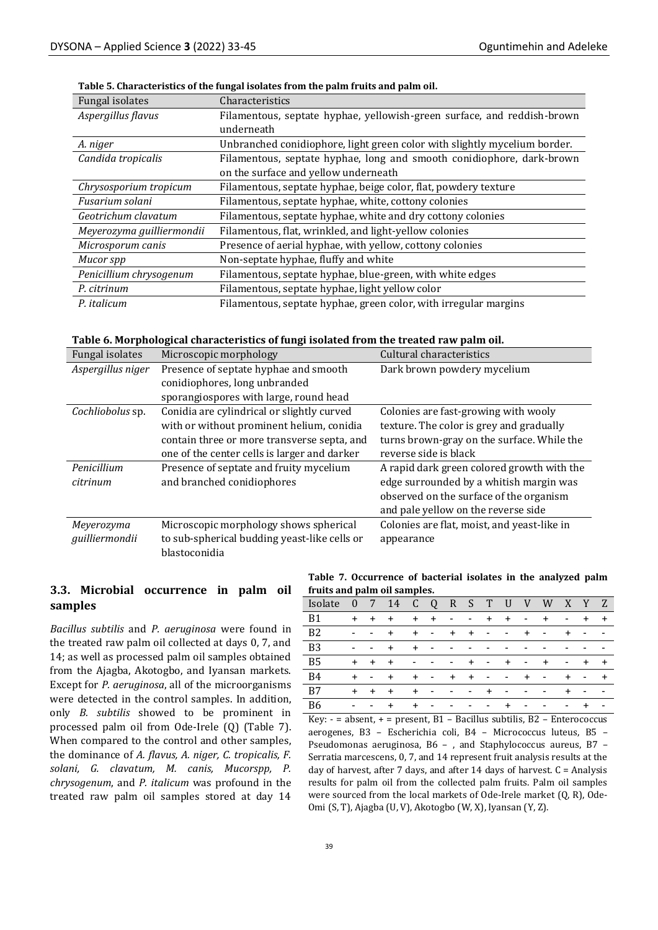| Fungal isolates           | Characteristics                                                           |
|---------------------------|---------------------------------------------------------------------------|
| Aspergillus flavus        | Filamentous, septate hyphae, yellowish-green surface, and reddish-brown   |
|                           | underneath                                                                |
| A. niger                  | Unbranched conidiophore, light green color with slightly mycelium border. |
| Candida tropicalis        | Filamentous, septate hyphae, long and smooth conidiophore, dark-brown     |
|                           | on the surface and yellow underneath                                      |
| Chrysosporium tropicum    | Filamentous, septate hyphae, beige color, flat, powdery texture           |
| Fusarium solani           | Filamentous, septate hyphae, white, cottony colonies                      |
| Geotrichum clavatum       | Filamentous, septate hyphae, white and dry cottony colonies               |
| Meyerozyma guilliermondii | Filamentous, flat, wrinkled, and light-yellow colonies                    |
| Microsporum canis         | Presence of aerial hyphae, with yellow, cottony colonies                  |
| Mucor spp                 | Non-septate hyphae, fluffy and white                                      |
| Penicillium chrysogenum   | Filamentous, septate hyphae, blue-green, with white edges                 |
| P. citrinum               | Filamentous, septate hyphae, light yellow color                           |
| P. <i>italicum</i>        | Filamentous, septate hyphae, green color, with irregular margins          |

#### **Table 5. Characteristics of the fungal isolates from the palm fruits and palm oil.**

**Table 6. Morphological characteristics of fungi isolated from the treated raw palm oil.**

| Fungal isolates   | Microscopic morphology                       | Cultural characteristics                    |
|-------------------|----------------------------------------------|---------------------------------------------|
| Aspergillus niger | Presence of septate hyphae and smooth        | Dark brown powdery mycelium                 |
|                   | conidiophores, long unbranded                |                                             |
|                   | sporangiospores with large, round head       |                                             |
| Cochliobolus sp.  | Conidia are cylindrical or slightly curved   | Colonies are fast-growing with wooly        |
|                   | with or without prominent helium, conidia    | texture. The color is grey and gradually    |
|                   | contain three or more transverse septa, and  | turns brown-gray on the surface. While the  |
|                   | one of the center cells is larger and darker | reverse side is black                       |
| Penicillium       | Presence of septate and fruity mycelium      | A rapid dark green colored growth with the  |
| citrinum          | and branched conidiophores                   | edge surrounded by a whitish margin was     |
|                   |                                              | observed on the surface of the organism     |
|                   |                                              | and pale yellow on the reverse side         |
| Meyerozyma        | Microscopic morphology shows spherical       | Colonies are flat, moist, and yeast-like in |
| guilliermondii    | to sub-spherical budding yeast-like cells or | appearance                                  |
|                   | blastoconidia                                |                                             |

## **3.3. Microbial occurrence in palm oil samples**

*Bacillus subtilis* and *P. aeruginosa* were found in the treated raw palm oil collected at days 0, 7, and 14; as well as processed palm oil samples obtained from the Ajagba, Akotogbo, and Iyansan markets. Except for *P. aeruginosa*, all of the microorganisms were detected in the control samples. In addition, only *B. subtilis* showed to be prominent in processed palm oil from Ode-Irele (Q) (Table 7). When compared to the control and other samples, the dominance of *A. flavus, A. niger, C. tropicalis, F. solani, G. clavatum, M. canis, Mucorspp, P. chrysogenum*, and *P. italicum* was profound in the treated raw palm oil samples stored at day 14

**Table 7. Occurrence of bacterial isolates in the analyzed palm fruits and palm oil samples.**

| Isolate   | $\overline{0}$           | $-7$    | 14    |                          | C Q R S T                |                          |                          |              | U                    | V         | W                        | X                        | Y                        | Z                        |
|-----------|--------------------------|---------|-------|--------------------------|--------------------------|--------------------------|--------------------------|--------------|----------------------|-----------|--------------------------|--------------------------|--------------------------|--------------------------|
| - B1      |                          | $+$ $+$ | $+$   |                          | $+$ $+$                  | $\overline{\phantom{a}}$ | <b>Service Contract</b>  |              | $+ +$ $-$            |           | $\pm$                    | $\overline{\phantom{a}}$ | $\pm$                    | $+$                      |
| <b>B2</b> | $\overline{\phantom{a}}$ | $\sim$  | $+$   |                          | $+$ $ -$                 |                          | $+ + -$                  |              | $ +$                 |           | $\sim$ $-$               | $\overline{+}$           | $\overline{\phantom{0}}$ | $\overline{\phantom{a}}$ |
| <b>B3</b> | ۰                        |         | $+$   | $+$                      | $\sim$                   |                          | -                        |              |                      |           |                          |                          |                          |                          |
| - B5      |                          | $+$ $+$ | $+$   | $\overline{\phantom{a}}$ | $\overline{\phantom{a}}$ | $\sim$                   |                          | $+$ $ +$ $-$ |                      |           | $\pm$                    | $\overline{\phantom{a}}$ | $+$                      | $+$                      |
| - B4      | $+$                      | $\sim$  | $+$   |                          | $+$ $ -$                 |                          | $+ + -$                  |              | <b>Service</b> State | $\ddot{}$ | $\blacksquare$           | $\pm$                    | $\sim$                   | $+$                      |
| <b>B7</b> |                          | $+$ $+$ | $+$   | $+$                      | $\sim$                   | $\overline{\phantom{a}}$ | $\sim$ $\sim$            | $+$          | $\sim$               |           | $\overline{\phantom{a}}$ | $\pm$                    |                          |                          |
| B6        | $\overline{\phantom{a}}$ |         | $\pm$ | $\ddot{}$                | $\overline{\phantom{a}}$ | $\overline{\phantom{a}}$ | $\overline{\phantom{a}}$ | $- - +$      |                      | $\sim$    | $\overline{\phantom{a}}$ | $\blacksquare$           |                          | $\overline{\phantom{a}}$ |

Key:  $-$  = absent,  $+$  = present,  $B1 -$  Bacillus subtilis,  $B2 -$  Enterococcus aerogenes, B3 – Escherichia coli, B4 – Micrococcus luteus, B5 – Pseudomonas aeruginosa, B6 – , and Staphylococcus aureus, B7 – Serratia marcescens, 0, 7, and 14 represent fruit analysis results at the day of harvest, after 7 days, and after 14 days of harvest.  $C =$  Analysis results for palm oil from the collected palm fruits. Palm oil samples were sourced from the local markets of Ode-Irele market (Q, R), Ode-Omi (S, T), Ajagba (U, V), Akotogbo (W, X), Iyansan (Y, Z).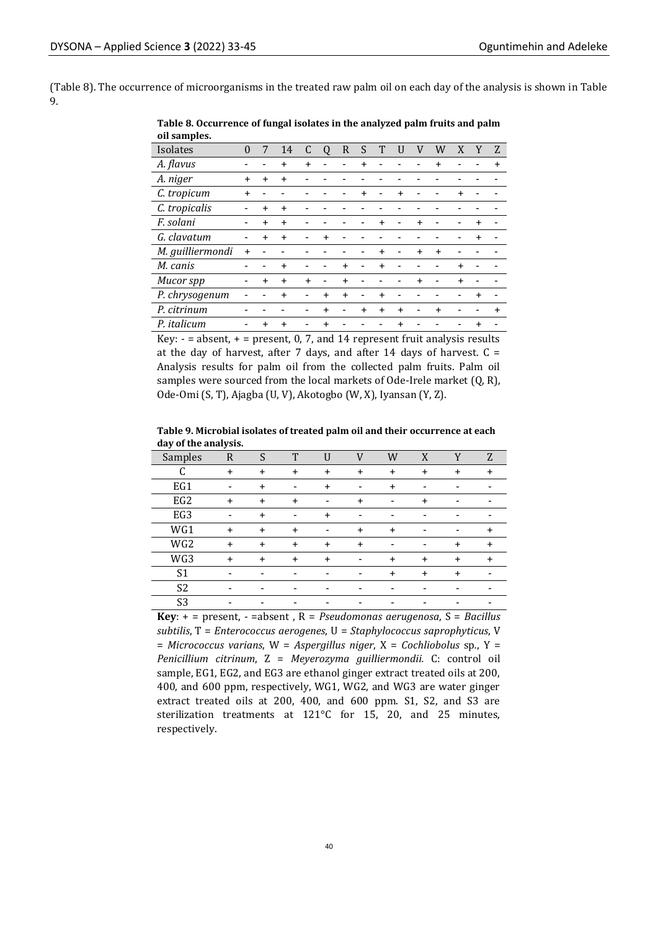(Table 8). The occurrence of microorganisms in the treated raw palm oil on each day of the analysis is shown in Table 9.

| on samples.      |           |           |           |           |           |           |           |           |           |           |           |           |           |
|------------------|-----------|-----------|-----------|-----------|-----------|-----------|-----------|-----------|-----------|-----------|-----------|-----------|-----------|
| Isolates         | $\theta$  | 7         | 14        | C         | Q         | R         | S         |           |           |           | W         | X         | Z         |
| A. flavus        |           |           | $\ddot{}$ |           |           |           |           |           |           |           |           |           |           |
| A. niger         | $\ddot{}$ | $\ddot{}$ | $\ddot{}$ |           |           |           |           |           |           |           |           |           |           |
| C. tropicum      | $\ddot{}$ |           |           |           |           |           | $\ddot{}$ |           | $\ddot{}$ |           |           | $\ddot{}$ |           |
| C. tropicalis    |           | $\ddot{}$ | $\ddot{}$ |           |           |           |           |           |           |           |           |           |           |
| F. solani        |           | $+$       | $\ddot{}$ |           |           |           |           | $\ddot{}$ |           | $\ddot{}$ |           |           |           |
| G. clavatum      |           | $\ddot{}$ | $\ddot{}$ |           | $\ddot{}$ |           |           |           |           |           |           |           |           |
| M. guilliermondi | $\ddot{}$ |           |           |           |           |           |           | $\ddot{}$ |           | $\ddot{}$ | $\ddot{}$ |           |           |
| M. canis         |           |           | $\ddot{}$ |           |           | $\ddot{}$ |           | $\ddot{}$ |           |           |           | $\ddot{}$ |           |
| Mucor spp        |           | $\ddot{}$ | $\ddot{}$ | $\ddot{}$ |           | $\ddot{}$ |           |           |           | $\ddot{}$ |           | $\ddot{}$ |           |
| P. chrysogenum   |           |           | $\ddot{}$ |           | $\ddot{}$ | $\ddot{}$ |           | $\ddot{}$ |           |           |           |           |           |
| P. citrinum      |           |           |           |           | $\ddot{}$ |           | $\ddot{}$ | $\ddot{}$ | $\ddot{}$ |           | $\ddot{}$ |           | $\ddot{}$ |
| P. italicum      |           | $\ddot{}$ | $\ddot{}$ |           |           |           |           |           | $\ddot{}$ |           |           |           |           |

#### **Table 8. Occurrence of fungal isolates in the analyzed palm fruits and palm oil samples.**

Key:  $-$  = absent,  $+$  = present, 0, 7, and 14 represent fruit analysis results at the day of harvest, after 7 days, and after 14 days of harvest.  $C =$ Analysis results for palm oil from the collected palm fruits. Palm oil samples were sourced from the local markets of Ode-Irele market (Q, R), Ode-Omi (S, T), Ajagba (U, V), Akotogbo (W, X), Iyansan (Y, Z).

**Table 9. Microbial isolates of treated palm oil and their occurrence at each day of the analysis.**

| Samples         | R         | S         | Т         |                          |           | W                        | X         |           | Z         |
|-----------------|-----------|-----------|-----------|--------------------------|-----------|--------------------------|-----------|-----------|-----------|
| r               | $\ddot{}$ | $\ddot{}$ | $\ddot{}$ | $\ddot{}$                | $\ddot{}$ | $\ddot{}$                | $\ddot{}$ | $\ddot{}$ | $\div$    |
| EG1             |           | $\ddot{}$ |           | $\ddot{}$                |           | $\ddot{}$                |           |           |           |
| EG <sub>2</sub> | $\ddot{}$ | $\ddot{}$ | $\ddot{}$ | $\overline{\phantom{0}}$ |           | $\overline{\phantom{0}}$ | $\div$    |           |           |
| EG3             |           |           |           |                          |           |                          |           |           |           |
| WG1             | $\ddot{}$ | $\ddot{}$ | $\ddot{}$ |                          | $\ddot{}$ | $\ddot{}$                |           |           | $\ddot{}$ |
| WG <sub>2</sub> | $\ddot{}$ | $\ddot{}$ | $\ddot{}$ | $\ddot{}$                | $\ddot{}$ |                          |           | $\ddot{}$ | $\ddot{}$ |
| WG3             | $\ddot{}$ | $\ddot{}$ | $\ddot{}$ | $\ddot{}$                |           | $\ddot{}$                | $\ddot{}$ | $\ddot{}$ | $\ddot{}$ |
| S <sub>1</sub>  |           |           |           |                          |           | $\div$                   | $\div$    | $\div$    |           |
| S <sub>2</sub>  |           |           |           |                          |           |                          |           |           |           |
| S <sub>3</sub>  |           |           |           |                          |           |                          |           |           |           |

**Key**: + = present, - =absent , R = *Pseudomonas aerugenosa*, S = *Bacillus subtilis*, T = *Enterococcus aerogenes*, U = *Staphylococcus saprophyticus*, V = *Micrococcus varians*, W = *Aspergillus niger*, X = *Cochliobolus* sp*.*, Y = *Penicillium citrinum*, Z = *Meyerozyma guilliermondii.* C: control oil sample, EG1, EG2, and EG3 are ethanol ginger extract treated oils at 200, 400, and 600 ppm, respectively, WG1, WG2, and WG3 are water ginger extract treated oils at 200, 400, and 600 ppm. S1, S2, and S3 are sterilization treatments at 121°C for 15, 20, and 25 minutes, respectively.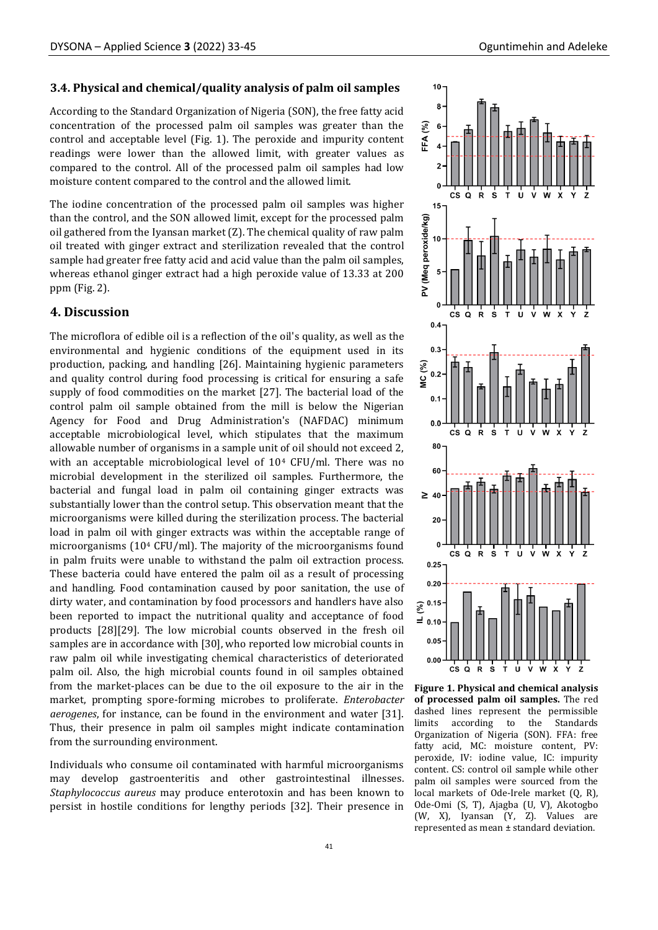#### **3.4. Physical and chemical/quality analysis of palm oil samples**

According to the Standard Organization of Nigeria (SON), the free fatty acid concentration of the processed palm oil samples was greater than the control and acceptable level (Fig. 1). The peroxide and impurity content readings were lower than the allowed limit, with greater values as compared to the control. All of the processed palm oil samples had low moisture content compared to the control and the allowed limit.

The iodine concentration of the processed palm oil samples was higher than the control, and the SON allowed limit, except for the processed palm oil gathered from the Iyansan market (Z). The chemical quality of raw palm oil treated with ginger extract and sterilization revealed that the control sample had greater free fatty acid and acid value than the palm oil samples, whereas ethanol ginger extract had a high peroxide value of 13.33 at 200 ppm (Fig. 2).

#### **4. Discussion**

The microflora of edible oil is a reflection of the oil's quality, as well as the environmental and hygienic conditions of the equipment used in its production, packing, and handling [26]. Maintaining hygienic parameters and quality control during food processing is critical for ensuring a safe supply of food commodities on the market [27]. The bacterial load of the control palm oil sample obtained from the mill is below the Nigerian Agency for Food and Drug Administration's (NAFDAC) minimum acceptable microbiological level, which stipulates that the maximum allowable number of organisms in a sample unit of oil should not exceed 2, with an acceptable microbiological level of 10<sup>4</sup> CFU/ml. There was no microbial development in the sterilized oil samples. Furthermore, the bacterial and fungal load in palm oil containing ginger extracts was substantially lower than the control setup. This observation meant that the microorganisms were killed during the sterilization process. The bacterial load in palm oil with ginger extracts was within the acceptable range of microorganisms (10<sup>4</sup> CFU/ml). The majority of the microorganisms found in palm fruits were unable to withstand the palm oil extraction process. These bacteria could have entered the palm oil as a result of processing and handling. Food contamination caused by poor sanitation, the use of dirty water, and contamination by food processors and handlers have also been reported to impact the nutritional quality and acceptance of food products [28][29]. The low microbial counts observed in the fresh oil samples are in accordance with [30], who reported low microbial counts in raw palm oil while investigating chemical characteristics of deteriorated palm oil. Also, the high microbial counts found in oil samples obtained from the market-places can be due to the oil exposure to the air in the market, prompting spore-forming microbes to proliferate. *Enterobacter aerogenes*, for instance, can be found in the environment and water [31]. Thus, their presence in palm oil samples might indicate contamination from the surrounding environment.

Individuals who consume oil contaminated with harmful microorganisms may develop gastroenteritis and other gastrointestinal illnesses. *Staphylococcus aureus* may produce enterotoxin and has been known to persist in hostile conditions for lengthy periods [32]. Their presence in



**Figure 1. Physical and chemical analysis of processed palm oil samples.** The red dashed lines represent the permissible limits according to the Standards Organization of Nigeria (SON). FFA: free fatty acid, MC: moisture content, PV: peroxide, IV: iodine value, IC: impurity content. CS: control oil sample while other palm oil samples were sourced from the local markets of Ode-Irele market (Q, R), Ode-Omi (S, T), Ajagba (U, V), Akotogbo (W, X), Iyansan (Y, Z). Values are represented as mean ± standard deviation.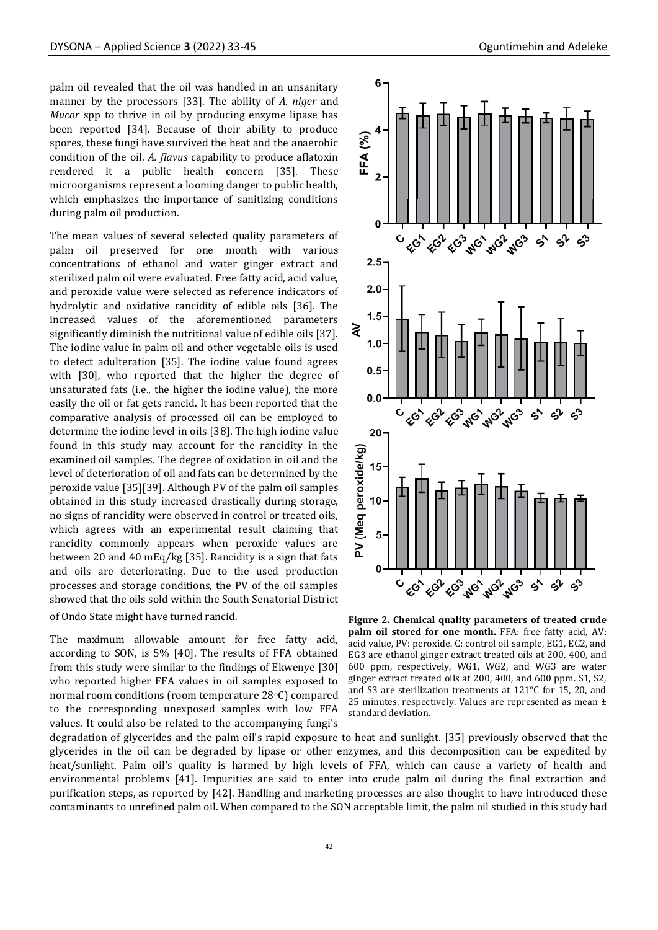palm oil revealed that the oil was handled in an unsanitary manner by the processors [33]. The ability of *A. niger* and *Mucor* spp to thrive in oil by producing enzyme lipase has been reported [34]. Because of their ability to produce spores, these fungi have survived the heat and the anaerobic condition of the oil. *A. flavus* capability to produce aflatoxin rendered it a public health concern [35]. These microorganisms represent a looming danger to public health, which emphasizes the importance of sanitizing conditions during palm oil production.

The mean values of several selected quality parameters of palm oil preserved for one month with various concentrations of ethanol and water ginger extract and sterilized palm oil were evaluated. Free fatty acid, acid value, and peroxide value were selected as reference indicators of hydrolytic and oxidative rancidity of edible oils [36]. The increased values of the aforementioned parameters significantly diminish the nutritional value of edible oils [37]. The iodine value in palm oil and other vegetable oils is used to detect adulteration [35]. The iodine value found agrees with [30], who reported that the higher the degree of unsaturated fats (i.e., the higher the iodine value), the more easily the oil or fat gets rancid. It has been reported that the comparative analysis of processed oil can be employed to determine the iodine level in oils [38]. The high iodine value found in this study may account for the rancidity in the examined oil samples. The degree of oxidation in oil and the level of deterioration of oil and fats can be determined by the peroxide value [35][39]. Although PV of the palm oil samples obtained in this study increased drastically during storage, no signs of rancidity were observed in control or treated oils, which agrees with an experimental result claiming that rancidity commonly appears when peroxide values are between 20 and 40 mEq/kg [35]. Rancidity is a sign that fats and oils are deteriorating. Due to the used production processes and storage conditions, the PV of the oil samples showed that the oils sold within the South Senatorial District of Ondo State might have turned rancid.

The maximum allowable amount for free fatty acid, according to SON, is 5% [40]. The results of FFA obtained from this study were similar to the findings of Ekwenye [30] who reported higher FFA values in oil samples exposed to normal room conditions (room temperature 28°C) compared to the corresponding unexposed samples with low FFA values. It could also be related to the accompanying fungi's



**Figure 2. Chemical quality parameters of treated crude palm oil stored for one month.** FFA: free fatty acid, AV: acid value, PV: peroxide. C: control oil sample, EG1, EG2, and EG3 are ethanol ginger extract treated oils at 200, 400, and 600 ppm, respectively, WG1, WG2, and WG3 are water ginger extract treated oils at 200, 400, and 600 ppm. S1, S2, and S3 are sterilization treatments at 121°C for 15, 20, and 25 minutes, respectively. Values are represented as mean  $\pm$ standard deviation.

degradation of glycerides and the palm oil's rapid exposure to heat and sunlight. [35] previously observed that the glycerides in the oil can be degraded by lipase or other enzymes, and this decomposition can be expedited by heat/sunlight. Palm oil's quality is harmed by high levels of FFA, which can cause a variety of health and environmental problems [41]. Impurities are said to enter into crude palm oil during the final extraction and purification steps, as reported by [42]. Handling and marketing processes are also thought to have introduced these contaminants to unrefined palm oil. When compared to the SON acceptable limit, the palm oil studied in this study had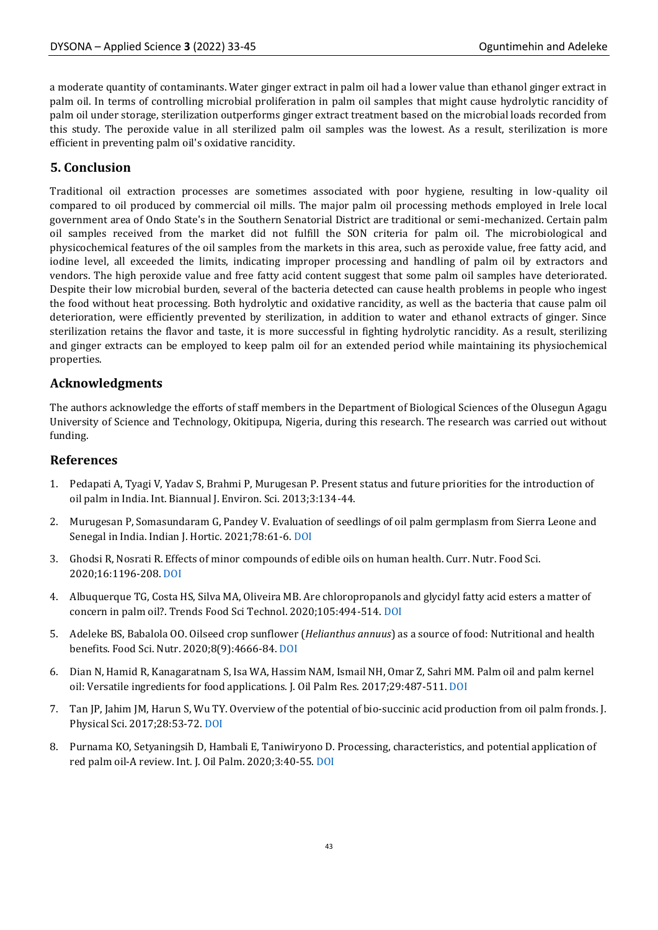a moderate quantity of contaminants. Water ginger extract in palm oil had a lower value than ethanol ginger extract in palm oil. In terms of controlling microbial proliferation in palm oil samples that might cause hydrolytic rancidity of palm oil under storage, sterilization outperforms ginger extract treatment based on the microbial loads recorded from this study. The peroxide value in all sterilized palm oil samples was the lowest. As a result, sterilization is more efficient in preventing palm oil's oxidative rancidity.

# **5. Conclusion**

Traditional oil extraction processes are sometimes associated with poor hygiene, resulting in low-quality oil compared to oil produced by commercial oil mills. The major palm oil processing methods employed in Irele local government area of Ondo State's in the Southern Senatorial District are traditional or semi-mechanized. Certain palm oil samples received from the market did not fulfill the SON criteria for palm oil. The microbiological and physicochemical features of the oil samples from the markets in this area, such as peroxide value, free fatty acid, and iodine level, all exceeded the limits, indicating improper processing and handling of palm oil by extractors and vendors. The high peroxide value and free fatty acid content suggest that some palm oil samples have deteriorated. Despite their low microbial burden, several of the bacteria detected can cause health problems in people who ingest the food without heat processing. Both hydrolytic and oxidative rancidity, as well as the bacteria that cause palm oil deterioration, were efficiently prevented by sterilization, in addition to water and ethanol extracts of ginger. Since sterilization retains the flavor and taste, it is more successful in fighting hydrolytic rancidity. As a result, sterilizing and ginger extracts can be employed to keep palm oil for an extended period while maintaining its physiochemical properties.

# **Acknowledgments**

The authors acknowledge the efforts of staff members in the Department of Biological Sciences of the Olusegun Agagu University of Science and Technology, Okitipupa, Nigeria, during this research. The research was carried out without funding.

# **References**

- 1. Pedapati A, Tyagi V, Yadav S, Brahmi P, Murugesan P. Present status and future priorities for the introduction of oil palm in India. Int. Biannual J. Environ. Sci. 2013;3:134-44.
- 2. Murugesan P, Somasundaram G, Pandey V. Evaluation of seedlings of oil palm germplasm from Sierra Leone and Senegal in India. Indian J. Hortic. 2021;78:61-6. [DOI](http://dx.doi.org/10.5958/0974-0112.2021.00009.8)
- 3. Ghodsi R, Nosrati R. Effects of minor compounds of edible oils on human health. Curr. Nutr. Food Sci. 2020;16:1196-208. [DOI](https://doi.org/10.2174/1573401316666200203121034)
- 4. Albuquerque TG, Costa HS, Silva MA, Oliveira MB. Are chloropropanols and glycidyl fatty acid esters a matter of concern in palm oil?. Trends Food Sci Technol. 2020;105:494-514[. DOI](https://doi.org/10.1016/j.tifs.2019.01.005)
- 5. Adeleke BS, Babalola OO. Oilseed crop sunflower (*Helianthus annuus*) as a source of food: Nutritional and health benefits. Food Sci. Nutr. 2020;8(9):4666-84. [DOI](https://doi.org/10.1002/fsn3.1783)
- 6. Dian N, Hamid R, Kanagaratnam S, Isa WA, Hassim NAM, Ismail NH, Omar Z, Sahri MM. Palm oil and palm kernel oil: Versatile ingredients for food applications. J. Oil Palm Res. 2017;29:487-511. [DOI](https://doi.org/10.21894/jopr.2017.00014)
- 7. Tan JP, Jahim JM, Harun S, Wu TY. Overview of the potential of bio-succinic acid production from oil palm fronds. J. Physical Sci. 2017;28:53-72[. DOI](https://doi.org/10.21315/jps2017.28.s1.4)
- 8. Purnama KO, Setyaningsih D, Hambali E, Taniwiryono D. Processing, characteristics, and potential application of red palm oil-A review. Int. J. Oil Palm. 2020;3:40-55[. DOI](http://dx.doi.org/10.35876/ijop.v3i2.47)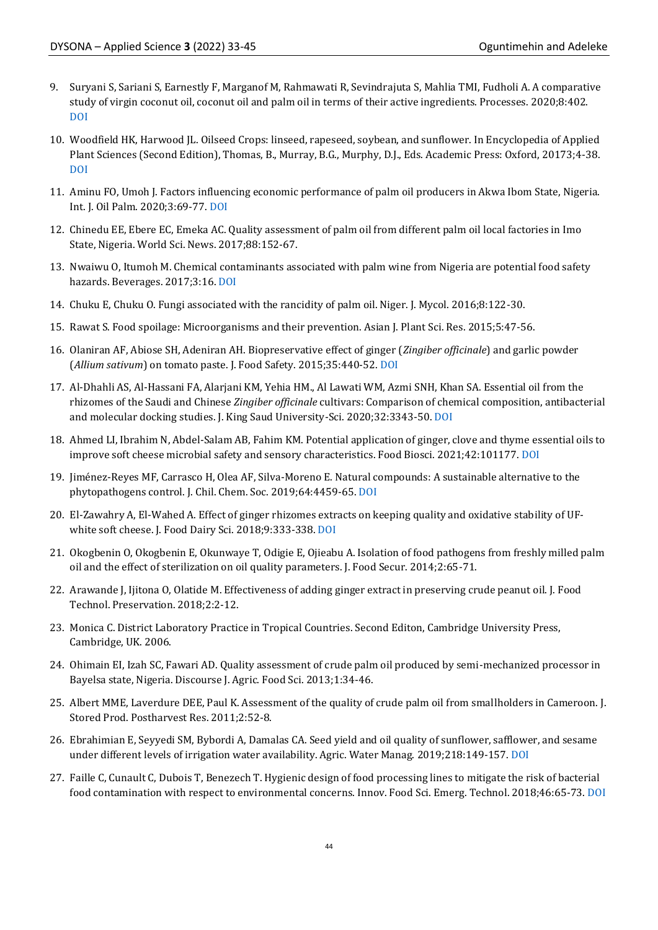- 9. Suryani S, Sariani S, Earnestly F, Marganof M, Rahmawati R, Sevindrajuta S, Mahlia TMI, Fudholi A. A comparative study of virgin coconut oil, coconut oil and palm oil in terms of their active ingredients. Processes. 2020;8:402. [DOI](http://dx.doi.org/10.3390/pr8040402)
- 10. Woodfield HK, Harwood JL. Oilseed Crops: linseed, rapeseed, soybean, and sunflower. In Encyclopedia of Applied Plant Sciences (Second Edition), Thomas, B., Murray, B.G., Murphy, D.J., Eds. Academic Press: Oxford, 20173;4-38. [DOI](https://doi.org/10.1016/B978-0-12-394807-6.00212-4)
- 11. Aminu FO, Umoh J. Factors influencing economic performance of palm oil producers in Akwa Ibom State, Nigeria. Int. J. Oil Palm. 2020;3:69-77. [DOI](http://dx.doi.org/10.35876/ijop.v3i3.52)
- 12. Chinedu EE, Ebere EC, Emeka AC. Quality assessment of palm oil from different palm oil local factories in Imo State, Nigeria. World Sci. News. 2017;88:152-67.
- 13. Nwaiwu O, Itumoh M. Chemical contaminants associated with palm wine from Nigeria are potential food safety hazards. Beverages. 2017;3:16. [DOI](https://doi.org/10.3390/beverages3010016)
- 14. Chuku E, Chuku O. Fungi associated with the rancidity of palm oil. Niger. J. Mycol. 2016;8:122-30.
- 15. Rawat S. Food spoilage: Microorganisms and their prevention. Asian J. Plant Sci. Res. 2015;5:47-56.
- 16. Olaniran AF, Abiose SH, Adeniran AH. Biopreservative effect of ginger (*Zingiber officinale*) and garlic powder (*Allium sativum*) on tomato paste. J. Food Safety. 2015;35:440-52. [DOI](https://doi.org/10.1111/jfs.12193)
- 17. Al-Dhahli AS, Al-Hassani FA, Alarjani KM, Yehia HM., Al Lawati WM, Azmi SNH, Khan SA. Essential oil from the rhizomes of the Saudi and Chinese *Zingiber officinale* cultivars: Comparison of chemical composition, antibacterial and molecular docking studies. J. King Saud University-Sci. 2020;32:3343-50[. DOI](https://doi.org/10.1016/j.jksus.2020.09.020)
- 18. Ahmed LI, Ibrahim N, Abdel-Salam AB, Fahim KM. Potential application of ginger, clove and thyme essential oils to improve soft cheese microbial safety and sensory characteristics. Food Biosci. 2021;42:101177. [DOI](https://doi.org/10.1016/j.fbio.2021.10117)
- 19. Jiménez-Reyes MF, Carrasco H, Olea AF, Silva-Moreno E. Natural compounds: A sustainable alternative to the phytopathogens control. J. Chil. Chem. Soc. 2019;64:4459-65. [DOI](http://dx.doi.org/10.4067/S0717-97072019000204459)
- 20. El-Zawahry A, El-Wahed A. Effect of ginger rhizomes extracts on keeping quality and oxidative stability of UFwhite soft cheese. J. Food Dairy Sci. 2018;9:333-338. [DOI](https://dx.doi.org/10.21608/jfds.2018.36024)
- 21. Okogbenin O, Okogbenin E, Okunwaye T, Odigie E, Ojieabu A. Isolation of food pathogens from freshly milled palm oil and the effect of sterilization on oil quality parameters. J. Food Secur. 2014;2:65-71.
- 22. Arawande J, Ijitona O, Olatide M. Effectiveness of adding ginger extract in preserving crude peanut oil. J. Food Technol. Preservation. 2018;2:2-12.
- 23. Monica C. District Laboratory Practice in Tropical Countries. Second Editon, Cambridge University Press, Cambridge, UK. 2006.
- 24. Ohimain EI, Izah SC, Fawari AD. Quality assessment of crude palm oil produced by semi-mechanized processor in Bayelsa state, Nigeria. Discourse J. Agric. Food Sci. 2013;1:34-46.
- 25. Albert MME, Laverdure DEE, Paul K. Assessment of the quality of crude palm oil from smallholders in Cameroon. J. Stored Prod. Postharvest Res. 2011;2:52-8.
- 26. Ebrahimian E, Seyyedi SM, Bybordi A, Damalas CA. Seed yield and oil quality of sunflower, safflower, and sesame under different levels of irrigation water availability. Agric. Water Manag. 2019;218:149-157[. DOI](https://doi.org/10.1016/j.agwat.2019.03.031)
- 27. Faille C, Cunault C, Dubois T, Benezech T. Hygienic design of food processing lines to mitigate the risk of bacterial food contamination with respect to environmental concerns. Innov. Food Sci. Emerg. Technol. 2018;46:65-73[. DOI](http://dx.doi.org/10.1016/j.ifset.2017.10.002)